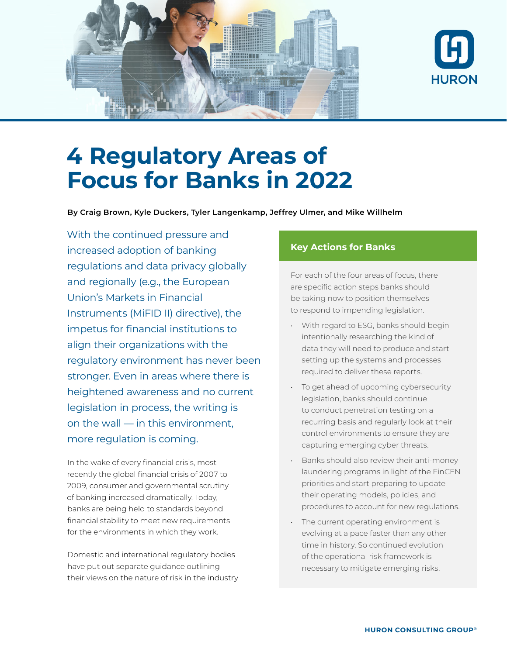



# **4 Regulatory Areas of Focus for Banks in 2022**

**By Craig Brown, Kyle Duckers, Tyler Langenkamp, Jeffrey Ulmer, and Mike Willhelm**

With the continued pressure and increased adoption of banking regulations and data privacy globally and regionally (e.g., the European Union's Markets in Financial Instruments (MiFID II) directive), the impetus for financial institutions to align their organizations with the regulatory environment has never been stronger. Even in areas where there is heightened awareness and no current legislation in process, the writing is on the wall — in this environment, more regulation is coming.

In the wake of every financial crisis, most recently the global financial crisis of 2007 to 2009, consumer and governmental scrutiny of banking increased dramatically. Today, banks are being held to standards beyond financial stability to meet new requirements for the environments in which they work.

Domestic and international regulatory bodies have put out separate guidance outlining their views on the nature of risk in the industry

#### **Key Actions for Banks**

For each of the four areas of focus, there are specific action steps banks should be taking now to position themselves to respond to impending legislation.

- With regard to ESG, banks should begin intentionally researching the kind of data they will need to produce and start setting up the systems and processes required to deliver these reports.
- To get ahead of upcoming cybersecurity legislation, banks should continue to conduct penetration testing on a recurring basis and regularly look at their control environments to ensure they are capturing emerging cyber threats.
- Banks should also review their anti-money laundering programs in light of the FinCEN priorities and start preparing to update their operating models, policies, and procedures to account for new regulations.
- The current operating environment is evolving at a pace faster than any other time in history. So continued evolution of the operational risk framework is necessary to mitigate emerging risks.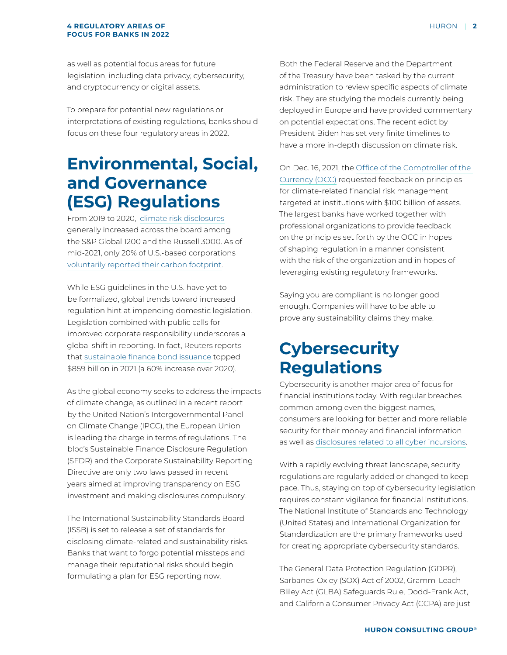#### **4 REGULATORY AREAS OF FOCUS FOR BANKS IN 2022**

as well as potential focus areas for future legislation, including data privacy, cybersecurity, and cryptocurrency or digital assets.

To prepare for potential new regulations or interpretations of existing regulations, banks should focus on these four regulatory areas in 2022.

### **Environmental, Social, and Governance (ESG) Regulations**

From 2019 to 2020, [climate risk disclosures](https://www.conference-board.org/pdfdownload.cfm?masterProductID=24650) generally increased across the board among the S&P Global 1200 and the Russell 3000. As of mid-2021, only 20% of U.S.-based corporations [voluntarily reported their carbon footprint.](https://www.forbes.com/sites/shivaramrajgopal/2021/06/01/the-how-of-carbon-reporting-in-the-us/?sh=6ed1988cfecd)

While ESG guidelines in the U.S. have yet to be formalized, global trends toward increased regulation hint at impending domestic legislation. Legislation combined with public calls for improved corporate responsibility underscores a global shift in reporting. In fact, Reuters reports that [sustainable finance bond issuance](https://www.reuters.com/markets/commodities/global-markets-esg-2021-12-23/) topped \$859 billion in 2021 (a 60% increase over 2020).

As the global economy seeks to address the impacts of climate change, as outlined in a recent report by the United Nation's Intergovernmental Panel on Climate Change (IPCC), the European Union is leading the charge in terms of regulations. The bloc's Sustainable Finance Disclosure Regulation (SFDR) and the Corporate Sustainability Reporting Directive are only two laws passed in recent years aimed at improving transparency on ESG investment and making disclosures compulsory.

The International Sustainability Standards Board (ISSB) is set to release a set of standards for disclosing climate-related and sustainability risks. Banks that want to forgo potential missteps and manage their reputational risks should begin formulating a plan for ESG reporting now.

Both the Federal Reserve and the Department of the Treasury have been tasked by the current administration to review specific aspects of climate risk. They are studying the models currently being deployed in Europe and have provided commentary on potential expectations. The recent edict by President Biden has set very finite timelines to have a more in-depth discussion on climate risk.

On Dec. 16, 2021, the [Office of the Comptroller of the](https://www.occ.gov/news-issuances/bulletins/2021/bulletin-2021-62.html)  [Currency \(OCC\)](https://www.occ.gov/news-issuances/bulletins/2021/bulletin-2021-62.html) requested feedback on principles for climate-related financial risk management targeted at institutions with \$100 billion of assets. The largest banks have worked together with professional organizations to provide feedback on the principles set forth by the OCC in hopes of shaping regulation in a manner consistent with the risk of the organization and in hopes of leveraging existing regulatory frameworks.

Saying you are compliant is no longer good enough. Companies will have to be able to prove any sustainability claims they make.

## **Cybersecurity Regulations**

Cybersecurity is another major area of focus for financial institutions today. With regular breaches common among even the biggest names, consumers are looking for better and more reliable security for their money and financial information as well as [disclosures related to all cyber incursions.](https://www.govinfo.gov/content/pkg/FR-2021-12-09/pdf/2021-25736.pdf)

With a rapidly evolving threat landscape, security regulations are regularly added or changed to keep pace. Thus, staying on top of cybersecurity legislation requires constant vigilance for financial institutions. The National Institute of Standards and Technology (United States) and International Organization for Standardization are the primary frameworks used for creating appropriate cybersecurity standards.

The General Data Protection Regulation (GDPR), Sarbanes-Oxley (SOX) Act of 2002, Gramm-Leach-Bliley Act (GLBA) Safeguards Rule, Dodd-Frank Act, and California Consumer Privacy Act (CCPA) are just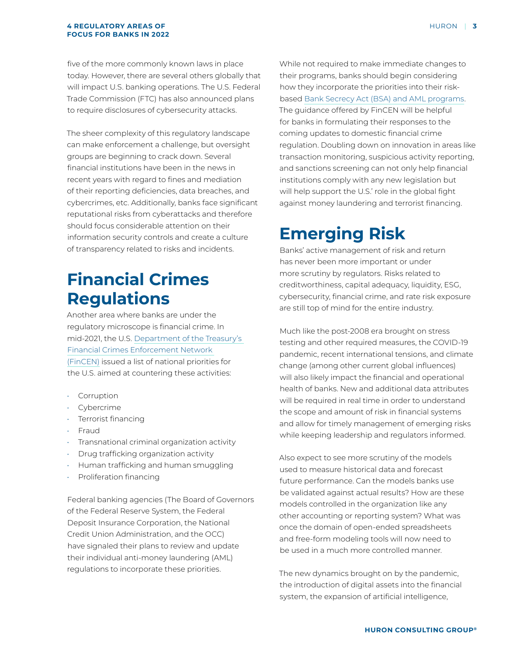#### **4 REGULATORY AREAS OF FOCUS FOR BANKS IN 2022**

five of the more commonly known laws in place today. However, there are several others globally that will impact U.S. banking operations. The U.S. Federal Trade Commission (FTC) has also announced plans to require disclosures of cybersecurity attacks.

The sheer complexity of this regulatory landscape can make enforcement a challenge, but oversight groups are beginning to crack down. Several financial institutions have been in the news in recent years with regard to fines and mediation of their reporting deficiencies, data breaches, and cybercrimes, etc. Additionally, banks face significant reputational risks from cyberattacks and therefore should focus considerable attention on their information security controls and create a culture of transparency related to risks and incidents.

### **Financial Crimes Regulations**

Another area where banks are under the regulatory microscope is financial crime. In mid-2021, the U.S. [Department of the Treasury's](https://www.fincen.gov/news/news-releases/fincen-issues-first-national-amlcft-priorities-and-accompanying-statements)  [Financial Crimes Enforcement Network](https://www.fincen.gov/news/news-releases/fincen-issues-first-national-amlcft-priorities-and-accompanying-statements)  [\(FinCEN\)](https://www.fincen.gov/news/news-releases/fincen-issues-first-national-amlcft-priorities-and-accompanying-statements) issued a list of national priorities for the U.S. aimed at countering these activities:

- Corruption
- Cybercrime
- Terrorist financing
- Fraud
- Transnational criminal organization activity
- Drug trafficking organization activity
- Human trafficking and human smuggling
- Proliferation financing

Federal banking agencies (The Board of Governors of the Federal Reserve System, the Federal Deposit Insurance Corporation, the National Credit Union Administration, and the OCC) have signaled their plans to review and update their individual anti-money laundering (AML) regulations to incorporate these priorities.

While not required to make immediate changes to their programs, banks should begin considering how they incorporate the priorities into their riskbased [Bank Secrecy Act \(BSA\) and AML programs.](https://www.fincen.gov/sites/default/files/shared/Statement for Banks (June 30%2C 2021).pdf) The guidance offered by FinCEN will be helpful for banks in formulating their responses to the coming updates to domestic financial crime regulation. Doubling down on innovation in areas like transaction monitoring, suspicious activity reporting, and sanctions screening can not only help financial institutions comply with any new legislation but will help support the U.S.' role in the global fight against money laundering and terrorist financing.

### **Emerging Risk**

Banks' active management of risk and return has never been more important or under more scrutiny by regulators. Risks related to creditworthiness, capital adequacy, liquidity, ESG, cybersecurity, financial crime, and rate risk exposure are still top of mind for the entire industry.

Much like the post-2008 era brought on stress testing and other required measures, the COVID-19 pandemic, recent international tensions, and climate change (among other current global influences) will also likely impact the financial and operational health of banks. New and additional data attributes will be required in real time in order to understand the scope and amount of risk in financial systems and allow for timely management of emerging risks while keeping leadership and regulators informed.

Also expect to see more scrutiny of the models used to measure historical data and forecast future performance. Can the models banks use be validated against actual results? How are these models controlled in the organization like any other accounting or reporting system? What was once the domain of open-ended spreadsheets and free-form modeling tools will now need to be used in a much more controlled manner.

The new dynamics brought on by the pandemic, the introduction of digital assets into the financial system, the expansion of artificial intelligence,